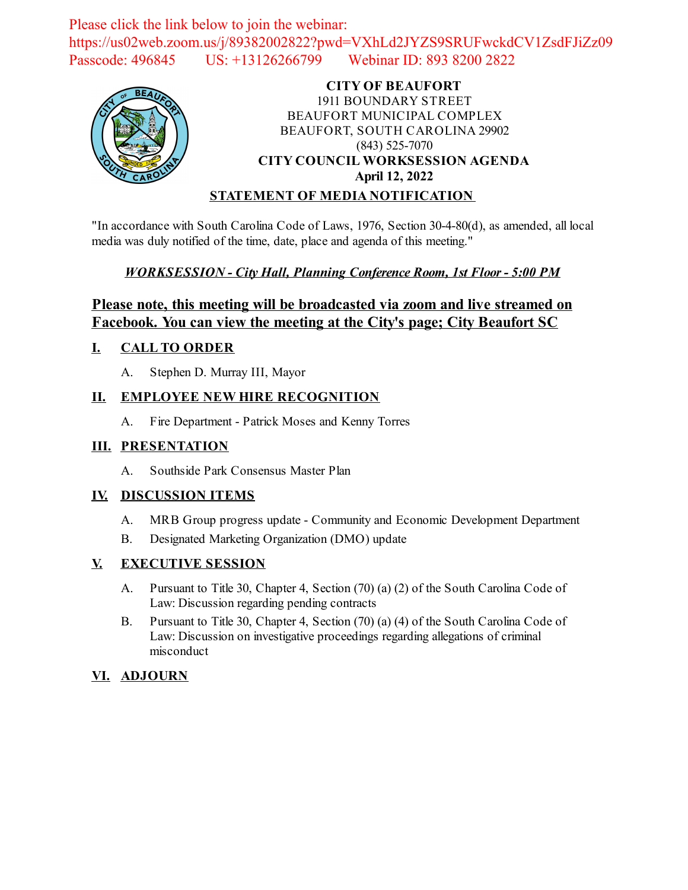Please click the link below to join the webinar: https://us02web.zoom.us/j/89382002822?pwd=VXhLd2JYZS9SRUFwckdCV1ZsdFJiZz09 Passcode: 496845 US: +13126266799 Webinar ID: 893 8200 2822



#### **CITY OF BEAUFORT** 1911 BOUNDARY STREET BEAUFORT MUNICIPAL COMPLEX BEAUFORT, SOUTH CAROLINA 29902 (843) 525-7070 **CITY COUNCIL WORKSESSION AGENDA April 12, 2022 STATEMENT OF MEDIA NOTIFICATION**

"In accordance with South Carolina Code of Laws, 1976, Section 30-4-80(d), as amended, all local media was duly notified of the time, date, place and agenda of this meeting."

### *WORKSESSION - City Hall, Planning Conference Room, 1st Floor - 5:00 PM*

## **Please note, this meeting will be broadcasted via zoom and live streamed on Facebook. You can view the meeting at the City's page; City Beaufort SC**

#### **I. CALL TO ORDER**

A. Stephen D. Murray III, Mayor

### **II. EMPLOYEE NEW HIRE RECOGNITION**

A. Fire Department - Patrick Moses and Kenny Torres

#### **III. PRESENTATION**

A. Southside Park Consensus Master Plan

#### **IV. DISCUSSION ITEMS**

- A. MRB Group progress update Community and Economic Development Department
- B. Designated Marketing Organization (DMO) update

#### **V. EXECUTIVE SESSION**

- A. Pursuant to Title 30, Chapter 4, Section (70) (a) (2) of the South Carolina Code of Law: Discussion regarding pending contracts
- B. Pursuant to Title 30, Chapter 4, Section (70) (a) (4) of the South Carolina Code of Law: Discussion on investigative proceedings regarding allegations of criminal misconduct

## **VI. ADJOURN**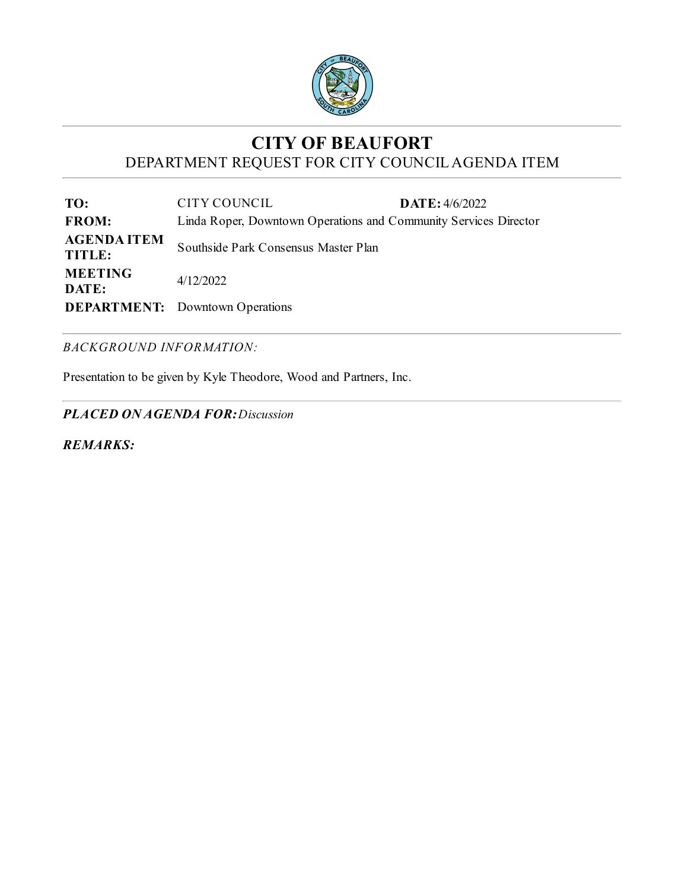

# **CITY OF BEAUFORT** DEPARTMENT REQUEST FOR CITY COUNCILAGENDA ITEM

**TO:** CITY COUNCIL **DATE:** 4/6/2022 **FROM:** Linda Roper, Downtown Operations and Community Services Director **AGENDA ITEM TITLE:** Southside Park Consensus Master Plan **MEETING DATE:** 4/12/2022 **DEPARTMENT:** Downtown Operations

#### *BACKGROUND INFORMATION:*

Presentation to be given by Kyle Theodore, Wood and Partners, Inc.

*PLACED ON AGENDA FOR:Discussion*

*REMARKS:*